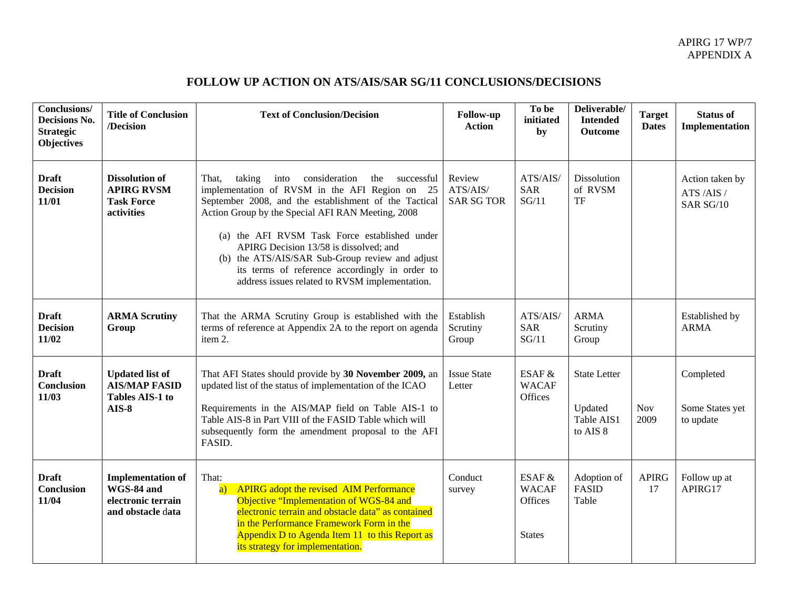## APIRG 17 WP/7 APPENDIX A

## **FOLLOW UP ACTION ON ATS/AIS/SAR SG/11 CONCLUSIONS/DECISIONS**

| <b>Conclusions/</b><br><b>Decisions No.</b><br><b>Strategic</b><br><b>Objectives</b> | <b>Title of Conclusion</b><br>/Decision                                           | <b>Text of Conclusion/Decision</b>                                                                                                                                                                                                                                                                                                                                                                                                                                              | Follow-up<br><b>Action</b>              | To be<br>initiated<br>by                           | Deliverable/<br><b>Intended</b><br><b>Outcome</b>        | <b>Target</b><br><b>Dates</b> | <b>Status of</b><br>Implementation        |
|--------------------------------------------------------------------------------------|-----------------------------------------------------------------------------------|---------------------------------------------------------------------------------------------------------------------------------------------------------------------------------------------------------------------------------------------------------------------------------------------------------------------------------------------------------------------------------------------------------------------------------------------------------------------------------|-----------------------------------------|----------------------------------------------------|----------------------------------------------------------|-------------------------------|-------------------------------------------|
| <b>Draft</b><br><b>Decision</b><br>11/01                                             | <b>Dissolution of</b><br><b>APIRG RVSM</b><br><b>Task Force</b><br>activities     | consideration<br>taking<br>the<br>successful<br>That,<br>into<br>implementation of RVSM in the AFI Region on 25<br>September 2008, and the establishment of the Tactical<br>Action Group by the Special AFI RAN Meeting, 2008<br>(a) the AFI RVSM Task Force established under<br>APIRG Decision 13/58 is dissolved; and<br>(b) the ATS/AIS/SAR Sub-Group review and adjust<br>its terms of reference accordingly in order to<br>address issues related to RVSM implementation. | Review<br>ATS/AIS/<br><b>SAR SG TOR</b> | ATS/AIS/<br><b>SAR</b><br>SG/11                    | Dissolution<br>of RVSM<br><b>TF</b>                      |                               | Action taken by<br>ATS/AIS/<br>SAR SG/10  |
| <b>Draft</b><br><b>Decision</b><br>11/02                                             | <b>ARMA Scrutiny</b><br>Group                                                     | That the ARMA Scrutiny Group is established with the<br>terms of reference at Appendix 2A to the report on agenda<br>item 2.                                                                                                                                                                                                                                                                                                                                                    | Establish<br>Scrutiny<br>Group          | ATS/AIS/<br><b>SAR</b><br>SG/11                    | <b>ARMA</b><br>Scrutiny<br>Group                         |                               | Established by<br><b>ARMA</b>             |
| <b>Draft</b><br><b>Conclusion</b><br>11/03                                           | <b>Updated list of</b><br><b>AIS/MAP FASID</b><br>Tables AIS-1 to<br>$AIS-8$      | That AFI States should provide by 30 November 2009, an<br>updated list of the status of implementation of the ICAO<br>Requirements in the AIS/MAP field on Table AIS-1 to<br>Table AIS-8 in Part VIII of the FASID Table which will<br>subsequently form the amendment proposal to the AFI<br>FASID.                                                                                                                                                                            | <b>Issue State</b><br>Letter            | ESAF &<br><b>WACAF</b><br>Offices                  | <b>State Letter</b><br>Updated<br>Table AIS1<br>to AIS 8 | <b>Nov</b><br>2009            | Completed<br>Some States yet<br>to update |
| <b>Draft</b><br><b>Conclusion</b><br>11/04                                           | <b>Implementation of</b><br>WGS-84 and<br>electronic terrain<br>and obstacle data | That:<br>APIRG adopt the revised AIM Performance<br>$\overline{a}$<br>Objective "Implementation of WGS-84 and<br>electronic terrain and obstacle data" as contained<br>in the Performance Framework Form in the<br>Appendix D to Agenda Item 11 to this Report as<br>its strategy for implementation.                                                                                                                                                                           | Conduct<br>survey                       | ESAF &<br><b>WACAF</b><br>Offices<br><b>States</b> | Adoption of<br><b>FASID</b><br>Table                     | <b>APIRG</b><br>17            | Follow up at<br>APIRG17                   |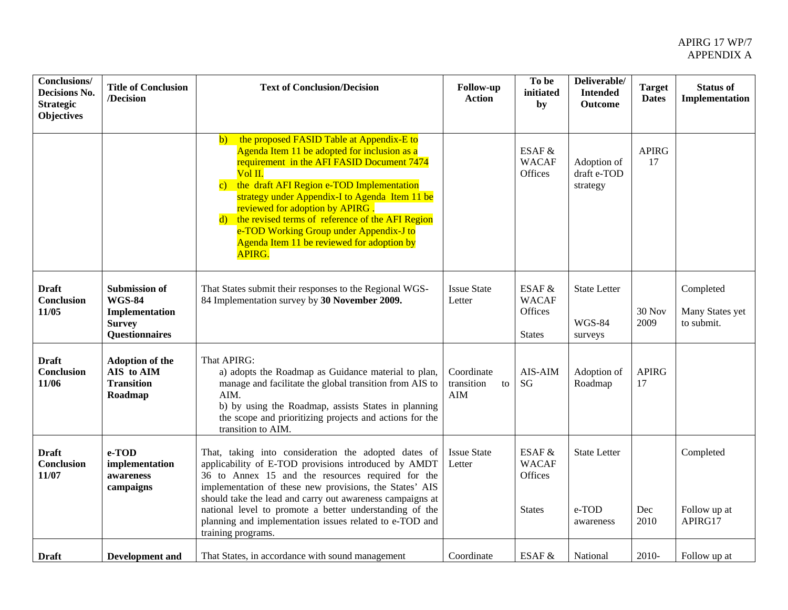| Conclusions/<br>Decisions No.<br><b>Strategic</b><br><b>Objectives</b> | <b>Title of Conclusion</b><br>/Decision                                                           | <b>Text of Conclusion/Decision</b>                                                                                                                                                                                                                                                                                                                                                                                                                                                 | <b>Follow-up</b><br><b>Action</b>     | To be<br>initiated<br>by                                  | Deliverable/<br><b>Intended</b><br><b>Outcome</b> | <b>Target</b><br><b>Dates</b> | <b>Status of</b><br>Implementation         |
|------------------------------------------------------------------------|---------------------------------------------------------------------------------------------------|------------------------------------------------------------------------------------------------------------------------------------------------------------------------------------------------------------------------------------------------------------------------------------------------------------------------------------------------------------------------------------------------------------------------------------------------------------------------------------|---------------------------------------|-----------------------------------------------------------|---------------------------------------------------|-------------------------------|--------------------------------------------|
|                                                                        |                                                                                                   | the proposed FASID Table at Appendix-E to<br>$\mathbf{b}$<br>Agenda Item 11 be adopted for inclusion as a<br>requirement in the AFI FASID Document 7474<br>$Vol$ II.<br>the draft AFI Region e-TOD Implementation<br>$\mathbf{c}$ )<br>strategy under Appendix-I to Agenda Item 11 be<br>reviewed for adoption by APIRG.<br>d) the revised terms of reference of the AFI Region<br>e-TOD Working Group under Appendix-J to<br>Agenda Item 11 be reviewed for adoption by<br>APIRG. |                                       | ESAF &<br><b>WACAF</b><br>Offices                         | Adoption of<br>draft e-TOD<br>strategy            | <b>APIRG</b><br>17            |                                            |
| <b>Draft</b><br>Conclusion<br>11/05                                    | <b>Submission of</b><br><b>WGS-84</b><br>Implementation<br><b>Survey</b><br><b>Questionnaires</b> | That States submit their responses to the Regional WGS-<br>84 Implementation survey by 30 November 2009.                                                                                                                                                                                                                                                                                                                                                                           | <b>Issue State</b><br>Letter          | ESAF &<br><b>WACAF</b><br><b>Offices</b><br><b>States</b> | <b>State Letter</b><br><b>WGS-84</b><br>surveys   | 30 Nov<br>2009                | Completed<br>Many States yet<br>to submit. |
| <b>Draft</b><br>Conclusion<br>11/06                                    | <b>Adoption of the</b><br>AIS to AIM<br><b>Transition</b><br>Roadmap                              | That APIRG:<br>a) adopts the Roadmap as Guidance material to plan,<br>manage and facilitate the global transition from AIS to<br>AIM.<br>b) by using the Roadmap, assists States in planning<br>the scope and prioritizing projects and actions for the<br>transition to AIM.                                                                                                                                                                                                      | Coordinate<br>transition<br>to<br>AIM | AIS-AIM<br><b>SG</b>                                      | Adoption of<br>Roadmap                            | <b>APIRG</b><br>17            |                                            |
| <b>Draft</b><br>Conclusion<br>11/07                                    | e-TOD<br>implementation<br>awareness<br>campaigns                                                 | That, taking into consideration the adopted dates of<br>applicability of E-TOD provisions introduced by AMDT<br>36 to Annex 15 and the resources required for the<br>implementation of these new provisions, the States' AIS<br>should take the lead and carry out awareness campaigns at<br>national level to promote a better understanding of the<br>planning and implementation issues related to e-TOD and<br>training programs.                                              | <b>Issue State</b><br>Letter          | ESAF &<br><b>WACAF</b><br>Offices<br><b>States</b>        | <b>State Letter</b><br>e-TOD<br>awareness         | Dec<br>2010                   | Completed<br>Follow up at<br>APIRG17       |
| <b>Draft</b>                                                           | <b>Development</b> and                                                                            | That States, in accordance with sound management                                                                                                                                                                                                                                                                                                                                                                                                                                   | Coordinate                            | ESAF &                                                    | National                                          | 2010-                         | Follow up at                               |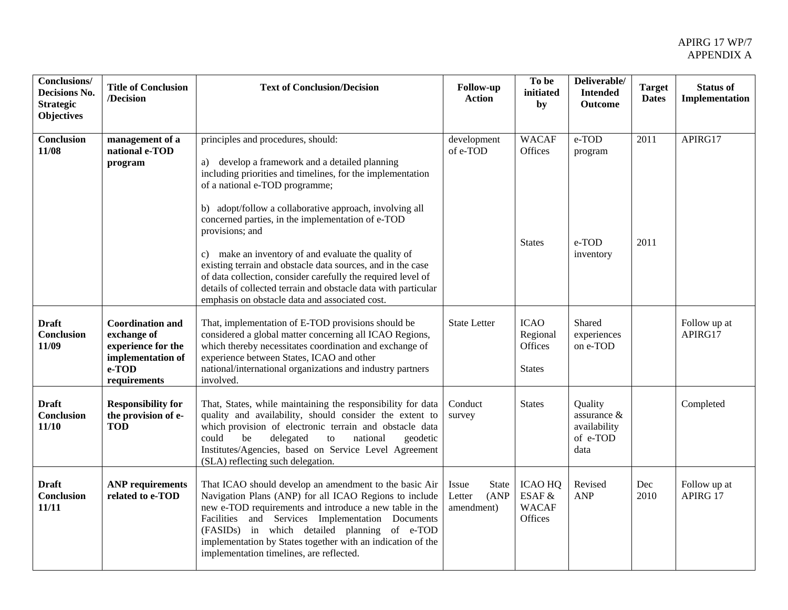| Conclusions/<br>Decisions No.<br><b>Strategic</b><br><b>Objectives</b> | <b>Title of Conclusion</b><br>/Decision                                                                       | <b>Text of Conclusion/Decision</b>                                                                                                                                                                                                                                                                                                                                                                                                                                                                                                                                                                                                | Follow-up<br><b>Action</b>                      | To be<br>initiated<br>by                            | Deliverable/<br><b>Intended</b><br><b>Outcome</b>             | <b>Target</b><br><b>Dates</b> | <b>Status of</b><br>Implementation |
|------------------------------------------------------------------------|---------------------------------------------------------------------------------------------------------------|-----------------------------------------------------------------------------------------------------------------------------------------------------------------------------------------------------------------------------------------------------------------------------------------------------------------------------------------------------------------------------------------------------------------------------------------------------------------------------------------------------------------------------------------------------------------------------------------------------------------------------------|-------------------------------------------------|-----------------------------------------------------|---------------------------------------------------------------|-------------------------------|------------------------------------|
| <b>Conclusion</b><br>11/08                                             | management of a<br>national e-TOD<br>program                                                                  | principles and procedures, should:<br>a) develop a framework and a detailed planning<br>including priorities and timelines, for the implementation<br>of a national e-TOD programme;<br>b) adopt/follow a collaborative approach, involving all<br>concerned parties, in the implementation of e-TOD<br>provisions; and<br>c) make an inventory of and evaluate the quality of<br>existing terrain and obstacle data sources, and in the case<br>of data collection, consider carefully the required level of<br>details of collected terrain and obstacle data with particular<br>emphasis on obstacle data and associated cost. | development<br>of e-TOD                         | <b>WACAF</b><br>Offices<br><b>States</b>            | e-TOD<br>program<br>e-TOD<br>inventory                        | 2011<br>2011                  | APIRG17                            |
| <b>Draft</b><br>Conclusion<br>11/09                                    | <b>Coordination and</b><br>exchange of<br>experience for the<br>implementation of<br>$e$ -TOD<br>requirements | That, implementation of E-TOD provisions should be<br>considered a global matter concerning all ICAO Regions,<br>which thereby necessitates coordination and exchange of<br>experience between States, ICAO and other<br>national/international organizations and industry partners<br>involved.                                                                                                                                                                                                                                                                                                                                  | <b>State Letter</b>                             | <b>ICAO</b><br>Regional<br>Offices<br><b>States</b> | Shared<br>experiences<br>on e-TOD                             |                               | Follow up at<br>APIRG17            |
| <b>Draft</b><br>Conclusion<br>11/10                                    | <b>Responsibility for</b><br>the provision of e-<br><b>TOD</b>                                                | That, States, while maintaining the responsibility for data<br>quality and availability, should consider the extent to<br>which provision of electronic terrain and obstacle data<br>be<br>delegated<br>could<br>to<br>national<br>geodetic<br>Institutes/Agencies, based on Service Level Agreement<br>(SLA) reflecting such delegation.                                                                                                                                                                                                                                                                                         | Conduct<br>survey                               | <b>States</b>                                       | Quality<br>assurance $\&$<br>availability<br>of e-TOD<br>data |                               | Completed                          |
| <b>Draft</b><br><b>Conclusion</b><br>11/11                             | <b>ANP</b> requirements<br>related to e-TOD                                                                   | That ICAO should develop an amendment to the basic Air<br>Navigation Plans (ANP) for all ICAO Regions to include<br>new e-TOD requirements and introduce a new table in the<br>Facilities and Services Implementation Documents<br>(FASIDs) in which detailed planning of e-TOD<br>implementation by States together with an indication of the<br>implementation timelines, are reflected.                                                                                                                                                                                                                                        | Issue<br>State<br>(ANP)<br>Letter<br>amendment) | <b>ICAO HQ</b><br>ESAF &<br><b>WACAF</b><br>Offices | Revised<br>ANP                                                | Dec<br>2010                   | Follow up at<br>APIRG 17           |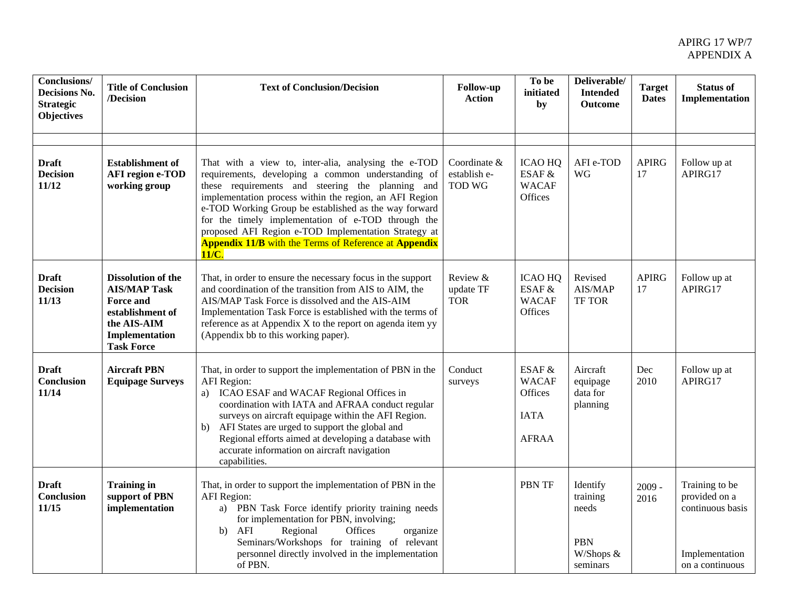| <b>Conclusions/</b><br>Decisions No.<br><b>Strategic</b><br><b>Objectives</b> | <b>Title of Conclusion</b><br>/Decision                                                                                                        | <b>Text of Conclusion/Decision</b>                                                                                                                                                                                                                                                                                                                                                                                                                                        | <b>Follow-up</b><br><b>Action</b>             | To be<br>initiated<br>by                                         | Deliverable/<br><b>Intended</b><br><b>Outcome</b>                    | <b>Target</b><br><b>Dates</b> | <b>Status of</b><br>Implementation                                                       |
|-------------------------------------------------------------------------------|------------------------------------------------------------------------------------------------------------------------------------------------|---------------------------------------------------------------------------------------------------------------------------------------------------------------------------------------------------------------------------------------------------------------------------------------------------------------------------------------------------------------------------------------------------------------------------------------------------------------------------|-----------------------------------------------|------------------------------------------------------------------|----------------------------------------------------------------------|-------------------------------|------------------------------------------------------------------------------------------|
|                                                                               |                                                                                                                                                |                                                                                                                                                                                                                                                                                                                                                                                                                                                                           |                                               |                                                                  |                                                                      |                               |                                                                                          |
| <b>Draft</b><br><b>Decision</b><br>11/12                                      | <b>Establishment of</b><br><b>AFI</b> region e-TOD<br>working group                                                                            | That with a view to, inter-alia, analysing the e-TOD<br>requirements, developing a common understanding of<br>these requirements and steering the planning and<br>implementation process within the region, an AFI Region<br>e-TOD Working Group be established as the way forward<br>for the timely implementation of e-TOD through the<br>proposed AFI Region e-TOD Implementation Strategy at<br><b>Appendix 11/B</b> with the Terms of Reference at Appendix<br>11/C. | Coordinate &<br>establish e-<br><b>TOD WG</b> | <b>ICAO HQ</b><br>ESAF &<br><b>WACAF</b><br>Offices              | AFI e-TOD<br>WG                                                      | <b>APIRG</b><br>17            | Follow up at<br>APIRG17                                                                  |
| <b>Draft</b><br><b>Decision</b><br>11/13                                      | <b>Dissolution of the</b><br><b>AIS/MAP Task</b><br><b>Force and</b><br>establishment of<br>the AIS-AIM<br>Implementation<br><b>Task Force</b> | That, in order to ensure the necessary focus in the support<br>and coordination of the transition from AIS to AIM, the<br>AIS/MAP Task Force is dissolved and the AIS-AIM<br>Implementation Task Force is established with the terms of<br>reference as at Appendix X to the report on agenda item yy<br>(Appendix bb to this working paper).                                                                                                                             | Review &<br>update TF<br><b>TOR</b>           | <b>ICAO HQ</b><br>ESAF &<br><b>WACAF</b><br>Offices              | Revised<br>AIS/MAP<br><b>TF TOR</b>                                  | <b>APIRG</b><br>17            | Follow up at<br>APIRG17                                                                  |
| <b>Draft</b><br>Conclusion<br>11/14                                           | <b>Aircraft PBN</b><br><b>Equipage Surveys</b>                                                                                                 | That, in order to support the implementation of PBN in the<br>AFI Region:<br>a) ICAO ESAF and WACAF Regional Offices in<br>coordination with IATA and AFRAA conduct regular<br>surveys on aircraft equipage within the AFI Region.<br>AFI States are urged to support the global and<br>b)<br>Regional efforts aimed at developing a database with<br>accurate information on aircraft navigation<br>capabilities.                                                        | Conduct<br>surveys                            | ESAF &<br><b>WACAF</b><br>Offices<br><b>IATA</b><br><b>AFRAA</b> | Aircraft<br>equipage<br>data for<br>planning                         | Dec<br>2010                   | Follow up at<br>APIRG17                                                                  |
| <b>Draft</b><br><b>Conclusion</b><br>11/15                                    | <b>Training in</b><br>support of PBN<br>implementation                                                                                         | That, in order to support the implementation of PBN in the<br><b>AFI</b> Region:<br>a) PBN Task Force identify priority training needs<br>for implementation for PBN, involving;<br>AFI<br>Regional<br>Offices<br>b)<br>organize<br>Seminars/Workshops for training of relevant<br>personnel directly involved in the implementation<br>of PBN.                                                                                                                           |                                               | <b>PBN TF</b>                                                    | Identify<br>training<br>needs<br><b>PBN</b><br>W/Shops &<br>seminars | $2009 -$<br>2016              | Training to be<br>provided on a<br>continuous basis<br>Implementation<br>on a continuous |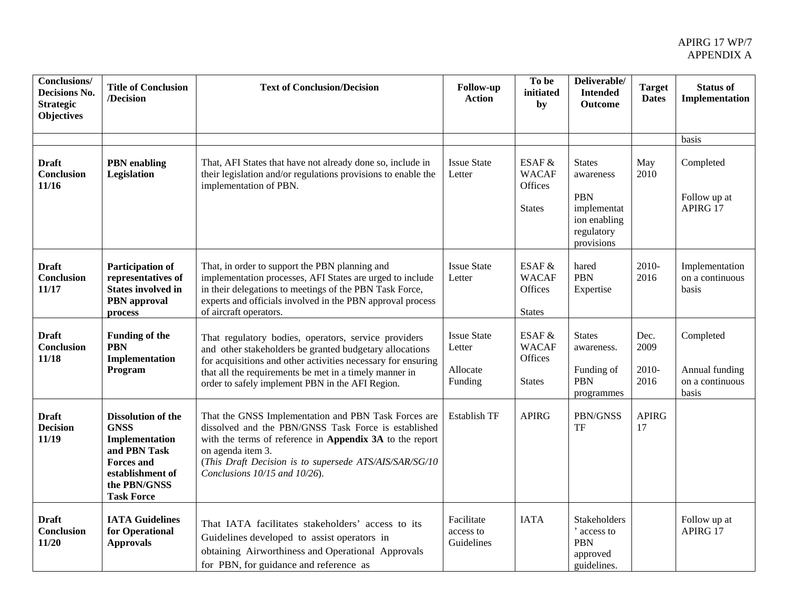| <b>Conclusions/</b><br>Decisions No.<br><b>Strategic</b><br><b>Objectives</b> | <b>Title of Conclusion</b><br>/Decision                                                                                                                  | <b>Text of Conclusion/Decision</b>                                                                                                                                                                                                                                                            | Follow-up<br><b>Action</b>                          | To be<br>initiated<br>by                             | Deliverable/<br><b>Intended</b><br><b>Outcome</b>                                                   | <b>Target</b><br><b>Dates</b> | <b>Status of</b><br>Implementation                      |
|-------------------------------------------------------------------------------|----------------------------------------------------------------------------------------------------------------------------------------------------------|-----------------------------------------------------------------------------------------------------------------------------------------------------------------------------------------------------------------------------------------------------------------------------------------------|-----------------------------------------------------|------------------------------------------------------|-----------------------------------------------------------------------------------------------------|-------------------------------|---------------------------------------------------------|
|                                                                               |                                                                                                                                                          |                                                                                                                                                                                                                                                                                               |                                                     |                                                      |                                                                                                     |                               | basis                                                   |
| <b>Draft</b><br>Conclusion<br>11/16                                           | <b>PBN</b> enabling<br>Legislation                                                                                                                       | That, AFI States that have not already done so, include in<br>their legislation and/or regulations provisions to enable the<br>implementation of PBN.                                                                                                                                         | <b>Issue State</b><br>Letter                        | ESAF $&$<br><b>WACAF</b><br>Offices<br><b>States</b> | <b>States</b><br>awareness<br><b>PBN</b><br>implementat<br>ion enabling<br>regulatory<br>provisions | May<br>2010                   | Completed<br>Follow up at<br>APIRG 17                   |
| <b>Draft</b><br>Conclusion<br>11/17                                           | <b>Participation of</b><br>representatives of<br><b>States involved in</b><br><b>PBN</b> approval<br>process                                             | That, in order to support the PBN planning and<br>implementation processes, AFI States are urged to include<br>in their delegations to meetings of the PBN Task Force,<br>experts and officials involved in the PBN approval process<br>of aircraft operators.                                | <b>Issue State</b><br>Letter                        | ESAF $&$<br><b>WACAF</b><br>Offices<br><b>States</b> | hared<br><b>PBN</b><br>Expertise                                                                    | 2010-<br>2016                 | Implementation<br>on a continuous<br>basis              |
| <b>Draft</b><br>Conclusion<br>11/18                                           | <b>Funding of the</b><br><b>PBN</b><br>Implementation<br>Program                                                                                         | That regulatory bodies, operators, service providers<br>and other stakeholders be granted budgetary allocations<br>for acquisitions and other activities necessary for ensuring<br>that all the requirements be met in a timely manner in<br>order to safely implement PBN in the AFI Region. | <b>Issue State</b><br>Letter<br>Allocate<br>Funding | ESAF &<br><b>WACAF</b><br>Offices<br><b>States</b>   | <b>States</b><br>awareness.<br>Funding of<br><b>PBN</b><br>programmes                               | Dec.<br>2009<br>2010-<br>2016 | Completed<br>Annual funding<br>on a continuous<br>basis |
| <b>Draft</b><br><b>Decision</b><br>11/19                                      | <b>Dissolution of the</b><br><b>GNSS</b><br>Implementation<br>and PBN Task<br><b>Forces</b> and<br>establishment of<br>the PBN/GNSS<br><b>Task Force</b> | That the GNSS Implementation and PBN Task Forces are<br>dissolved and the PBN/GNSS Task Force is established<br>with the terms of reference in Appendix 3A to the report<br>on agenda item 3.<br>(This Draft Decision is to supersede ATS/AIS/SAR/SG/10<br>Conclusions 10/15 and 10/26).      | Establish TF                                        | <b>APIRG</b>                                         | PBN/GNSS<br>TF                                                                                      | <b>APIRG</b><br>17            |                                                         |
| <b>Draft</b><br>Conclusion<br>11/20                                           | <b>IATA Guidelines</b><br>for Operational<br><b>Approvals</b>                                                                                            | That IATA facilitates stakeholders' access to its<br>Guidelines developed to assist operators in<br>obtaining Airworthiness and Operational Approvals<br>for PBN, for guidance and reference as                                                                                               | Facilitate<br>access to<br>Guidelines               | <b>IATA</b>                                          | Stakeholders<br>access to<br>PBN<br>approved<br>guidelines.                                         |                               | Follow up at<br>APIRG 17                                |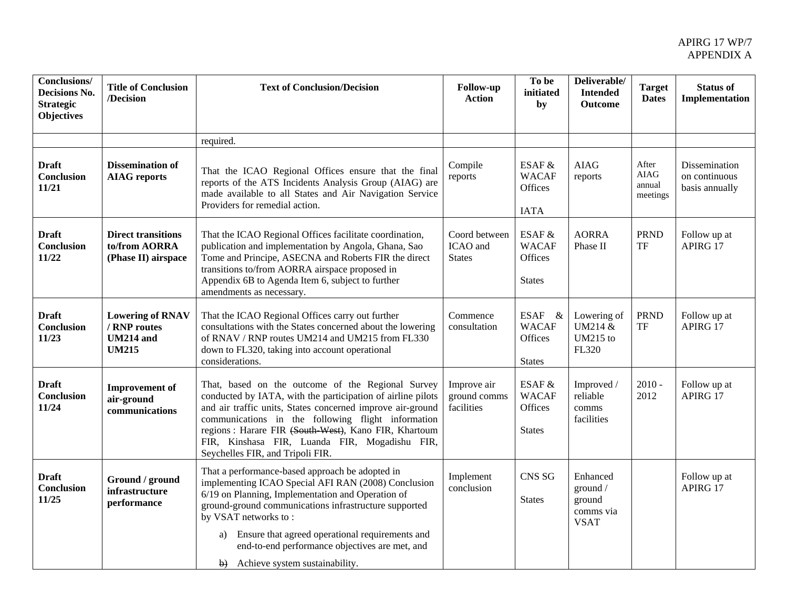| <b>Conclusions/</b><br>Decisions No.<br><b>Strategic</b><br><b>Objectives</b> | <b>Title of Conclusion</b><br>/Decision                                     | <b>Text of Conclusion/Decision</b>                                                                                                                                                                                                                                                                                                                                                 | <b>Follow-up</b><br><b>Action</b>          | To be<br>initiated<br>by                                        | Deliverable/<br><b>Intended</b><br>Outcome                 | <b>Target</b><br><b>Dates</b>                                   | <b>Status of</b><br>Implementation               |
|-------------------------------------------------------------------------------|-----------------------------------------------------------------------------|------------------------------------------------------------------------------------------------------------------------------------------------------------------------------------------------------------------------------------------------------------------------------------------------------------------------------------------------------------------------------------|--------------------------------------------|-----------------------------------------------------------------|------------------------------------------------------------|-----------------------------------------------------------------|--------------------------------------------------|
|                                                                               |                                                                             | required.                                                                                                                                                                                                                                                                                                                                                                          |                                            |                                                                 |                                                            |                                                                 |                                                  |
| <b>Draft</b><br>Conclusion<br>11/21                                           | <b>Dissemination of</b><br><b>AIAG</b> reports                              | That the ICAO Regional Offices ensure that the final<br>reports of the ATS Incidents Analysis Group (AIAG) are<br>made available to all States and Air Navigation Service<br>Providers for remedial action.                                                                                                                                                                        | Compile<br>reports                         | ESAF &<br><b>WACAF</b><br>Offices<br><b>IATA</b>                | <b>AIAG</b><br>reports                                     | After<br><b>AIAG</b><br>annual<br>meetings                      | Dissemination<br>on continuous<br>basis annually |
| <b>Draft</b><br><b>Conclusion</b><br>11/22                                    | <b>Direct transitions</b><br>to/from AORRA<br>(Phase II) airspace           | That the ICAO Regional Offices facilitate coordination,<br>publication and implementation by Angola, Ghana, Sao<br>Tome and Principe, ASECNA and Roberts FIR the direct<br>transitions to/from AORRA airspace proposed in<br>Appendix 6B to Agenda Item 6, subject to further<br>amendments as necessary.                                                                          | Coord between<br>ICAO and<br><b>States</b> | ESAF &<br><b>WACAF</b><br>Offices<br><b>States</b>              | <b>AORRA</b><br>Phase II                                   | <b>PRND</b><br>$\ensuremath{\mathsf{T}}\ensuremath{\mathsf{F}}$ | Follow up at<br>APIRG 17                         |
| <b>Draft</b><br><b>Conclusion</b><br>11/23                                    | <b>Lowering of RNAV</b><br>/ RNP routes<br><b>UM214</b> and<br><b>UM215</b> | That the ICAO Regional Offices carry out further<br>consultations with the States concerned about the lowering<br>of RNAV / RNP routes UM214 and UM215 from FL330<br>down to FL320, taking into account operational<br>considerations.                                                                                                                                             | Commence<br>consultation                   | <b>ESAF</b><br>$\&$<br><b>WACAF</b><br>Offices<br><b>States</b> | Lowering of<br>UM214 &<br>UM215 to<br>FL320                | <b>PRND</b><br>TF                                               | Follow up at<br>APIRG 17                         |
| <b>Draft</b><br><b>Conclusion</b><br>11/24                                    | <b>Improvement</b> of<br>air-ground<br>communications                       | That, based on the outcome of the Regional Survey<br>conducted by IATA, with the participation of airline pilots<br>and air traffic units, States concerned improve air-ground<br>communications in the following flight information<br>regions : Harare FIR (South West), Kano FIR, Khartoum<br>FIR, Kinshasa FIR, Luanda FIR, Mogadishu FIR,<br>Seychelles FIR, and Tripoli FIR. | Improve air<br>ground comms<br>facilities  | ESAF &<br><b>WACAF</b><br>Offices<br><b>States</b>              | Improved /<br>reliable<br>comms<br>facilities              | $2010 -$<br>2012                                                | Follow up at<br>APIRG 17                         |
| <b>Draft</b><br>Conclusion<br>11/25                                           | Ground / ground<br>infrastructure<br>performance                            | That a performance-based approach be adopted in<br>implementing ICAO Special AFI RAN (2008) Conclusion<br>6/19 on Planning, Implementation and Operation of<br>ground-ground communications infrastructure supported<br>by VSAT networks to:<br>Ensure that agreed operational requirements and<br>a)<br>end-to-end performance objectives are met, and                            | Implement<br>conclusion                    | CNS <sub>SG</sub><br><b>States</b>                              | Enhanced<br>ground /<br>ground<br>comms via<br><b>VSAT</b> |                                                                 | Follow up at<br>APIRG 17                         |
|                                                                               |                                                                             | b) Achieve system sustainability.                                                                                                                                                                                                                                                                                                                                                  |                                            |                                                                 |                                                            |                                                                 |                                                  |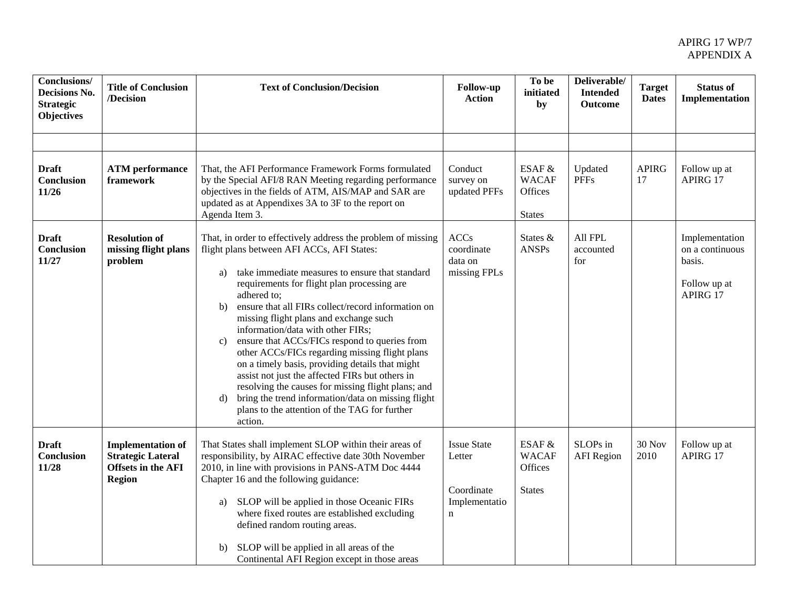| <b>Conclusions/</b><br>Decisions No.<br><b>Strategic</b><br><b>Objectives</b> | <b>Title of Conclusion</b><br>/Decision                                                            | <b>Text of Conclusion/Decision</b>                                                                                                                                                                                                                                                                                                                                                                                                                                                                                                                                                                                                                                                                                                                                                   | <b>Follow-up</b><br>Action                                       | To be<br>initiated<br>by                           | Deliverable/<br><b>Intended</b><br><b>Outcome</b> | <b>Target</b><br><b>Dates</b> | <b>Status of</b><br>Implementation                                      |
|-------------------------------------------------------------------------------|----------------------------------------------------------------------------------------------------|--------------------------------------------------------------------------------------------------------------------------------------------------------------------------------------------------------------------------------------------------------------------------------------------------------------------------------------------------------------------------------------------------------------------------------------------------------------------------------------------------------------------------------------------------------------------------------------------------------------------------------------------------------------------------------------------------------------------------------------------------------------------------------------|------------------------------------------------------------------|----------------------------------------------------|---------------------------------------------------|-------------------------------|-------------------------------------------------------------------------|
|                                                                               |                                                                                                    |                                                                                                                                                                                                                                                                                                                                                                                                                                                                                                                                                                                                                                                                                                                                                                                      |                                                                  |                                                    |                                                   |                               |                                                                         |
| <b>Draft</b><br><b>Conclusion</b><br>11/26                                    | <b>ATM</b> performance<br>framework                                                                | That, the AFI Performance Framework Forms formulated<br>by the Special AFI/8 RAN Meeting regarding performance<br>objectives in the fields of ATM, AIS/MAP and SAR are<br>updated as at Appendixes 3A to 3F to the report on<br>Agenda Item 3.                                                                                                                                                                                                                                                                                                                                                                                                                                                                                                                                       | Conduct<br>survey on<br>updated PFFs                             | ESAF &<br><b>WACAF</b><br>Offices<br><b>States</b> | Updated<br><b>PFFs</b>                            | <b>APIRG</b><br>17            | Follow up at<br>APIRG 17                                                |
| <b>Draft</b><br>Conclusion<br>11/27                                           | <b>Resolution of</b><br>missing flight plans<br>problem                                            | That, in order to effectively address the problem of missing<br>flight plans between AFI ACCs, AFI States:<br>take immediate measures to ensure that standard<br>a)<br>requirements for flight plan processing are<br>adhered to;<br>ensure that all FIRs collect/record information on<br>b)<br>missing flight plans and exchange such<br>information/data with other FIRs;<br>ensure that ACCs/FICs respond to queries from<br>$\mathbf{c})$<br>other ACCs/FICs regarding missing flight plans<br>on a timely basis, providing details that might<br>assist not just the affected FIRs but others in<br>resolving the causes for missing flight plans; and<br>bring the trend information/data on missing flight<br>d)<br>plans to the attention of the TAG for further<br>action. | <b>ACCs</b><br>coordinate<br>data on<br>missing FPLs             | States &<br><b>ANSPs</b>                           | All FPL<br>accounted<br>for                       |                               | Implementation<br>on a continuous<br>basis.<br>Follow up at<br>APIRG 17 |
| <b>Draft</b><br>Conclusion<br>11/28                                           | <b>Implementation of</b><br><b>Strategic Lateral</b><br><b>Offsets in the AFI</b><br><b>Region</b> | That States shall implement SLOP within their areas of<br>responsibility, by AIRAC effective date 30th November<br>2010, in line with provisions in PANS-ATM Doc 4444<br>Chapter 16 and the following guidance:<br>SLOP will be applied in those Oceanic FIRs<br>a)<br>where fixed routes are established excluding<br>defined random routing areas.<br>SLOP will be applied in all areas of the<br>b)<br>Continental AFI Region except in those areas                                                                                                                                                                                                                                                                                                                               | <b>Issue State</b><br>Letter<br>Coordinate<br>Implementatio<br>n | ESAF &<br><b>WACAF</b><br>Offices<br><b>States</b> | SLOPs in<br><b>AFI</b> Region                     | 30 Nov<br>2010                | Follow up at<br>APIRG 17                                                |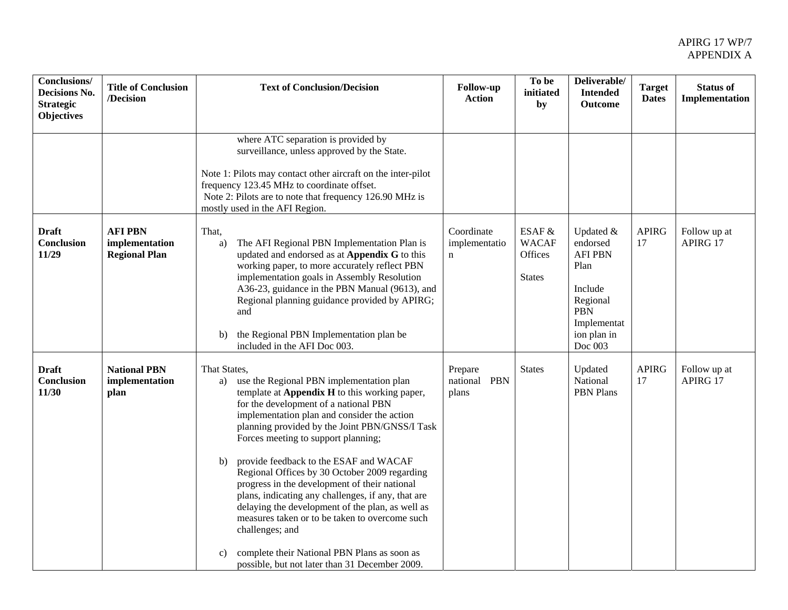| Conclusions/<br>Decisions No.<br><b>Strategic</b><br><b>Objectives</b> | <b>Title of Conclusion</b><br>/Decision                  | <b>Text of Conclusion/Decision</b>                                                                                                                                                                                                                                                                                                                                                                                                                                                                                                                                                                                                                                                                                                        | <b>Follow-up</b><br><b>Action</b>          | To be<br>initiated<br>by                           | Deliverable/<br><b>Intended</b><br><b>Outcome</b>                                                                             | <b>Target</b><br><b>Dates</b> | <b>Status of</b><br>Implementation |
|------------------------------------------------------------------------|----------------------------------------------------------|-------------------------------------------------------------------------------------------------------------------------------------------------------------------------------------------------------------------------------------------------------------------------------------------------------------------------------------------------------------------------------------------------------------------------------------------------------------------------------------------------------------------------------------------------------------------------------------------------------------------------------------------------------------------------------------------------------------------------------------------|--------------------------------------------|----------------------------------------------------|-------------------------------------------------------------------------------------------------------------------------------|-------------------------------|------------------------------------|
|                                                                        |                                                          | where ATC separation is provided by<br>surveillance, unless approved by the State.<br>Note 1: Pilots may contact other aircraft on the inter-pilot<br>frequency 123.45 MHz to coordinate offset.<br>Note 2: Pilots are to note that frequency 126.90 MHz is<br>mostly used in the AFI Region.                                                                                                                                                                                                                                                                                                                                                                                                                                             |                                            |                                                    |                                                                                                                               |                               |                                    |
| <b>Draft</b><br>Conclusion<br>11/29                                    | <b>AFI PBN</b><br>implementation<br><b>Regional Plan</b> | That,<br>The AFI Regional PBN Implementation Plan is<br>a)<br>updated and endorsed as at Appendix G to this<br>working paper, to more accurately reflect PBN<br>implementation goals in Assembly Resolution<br>A36-23, guidance in the PBN Manual (9613), and<br>Regional planning guidance provided by APIRG;<br>and<br>the Regional PBN Implementation plan be<br>b)<br>included in the AFI Doc 003.                                                                                                                                                                                                                                                                                                                                    | Coordinate<br>implementatio<br>$\mathbf n$ | ESAF &<br><b>WACAF</b><br>Offices<br><b>States</b> | Updated &<br>endorsed<br><b>AFI PBN</b><br>Plan<br>Include<br>Regional<br><b>PBN</b><br>Implementat<br>ion plan in<br>Doc 003 | <b>APIRG</b><br>17            | Follow up at<br>APIRG 17           |
| <b>Draft</b><br><b>Conclusion</b><br>11/30                             | <b>National PBN</b><br>implementation<br>plan            | That States,<br>use the Regional PBN implementation plan<br>a)<br>template at Appendix H to this working paper,<br>for the development of a national PBN<br>implementation plan and consider the action<br>planning provided by the Joint PBN/GNSS/I Task<br>Forces meeting to support planning;<br>provide feedback to the ESAF and WACAF<br>b)<br>Regional Offices by 30 October 2009 regarding<br>progress in the development of their national<br>plans, indicating any challenges, if any, that are<br>delaying the development of the plan, as well as<br>measures taken or to be taken to overcome such<br>challenges; and<br>complete their National PBN Plans as soon as<br>c)<br>possible, but not later than 31 December 2009. | Prepare<br>national PBN<br>plans           | <b>States</b>                                      | Updated<br>National<br><b>PBN</b> Plans                                                                                       | <b>APIRG</b><br>17            | Follow up at<br>APIRG 17           |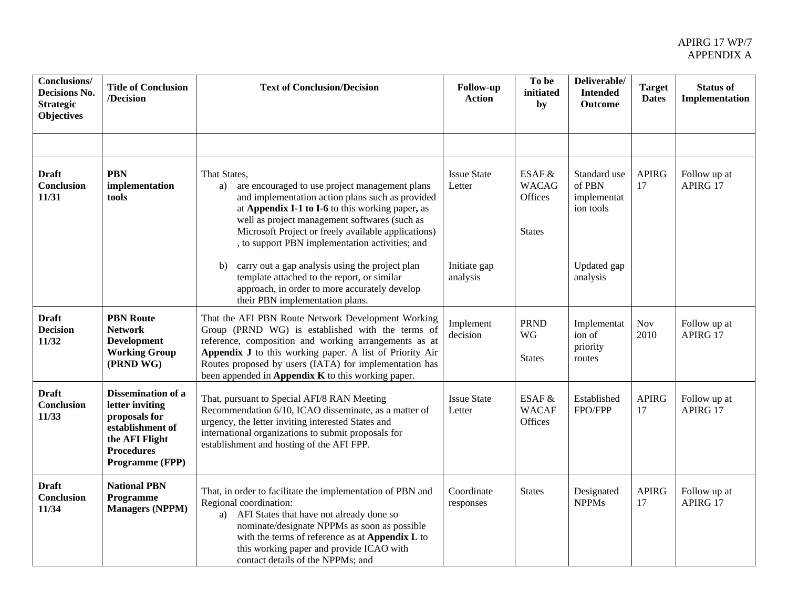| Conclusions/<br>Decisions No.<br><b>Strategic</b><br><b>Objectives</b> | <b>Title of Conclusion</b><br>/Decision                                                                                                     | <b>Text of Conclusion/Decision</b>                                                                                                                                                                                                                                                                                                            | Follow-up<br><b>Action</b>   | To be<br>initiated<br>by                    | Deliverable/<br><b>Intended</b><br><b>Outcome</b>  | <b>Target</b><br><b>Dates</b> | <b>Status of</b><br>Implementation |
|------------------------------------------------------------------------|---------------------------------------------------------------------------------------------------------------------------------------------|-----------------------------------------------------------------------------------------------------------------------------------------------------------------------------------------------------------------------------------------------------------------------------------------------------------------------------------------------|------------------------------|---------------------------------------------|----------------------------------------------------|-------------------------------|------------------------------------|
|                                                                        |                                                                                                                                             |                                                                                                                                                                                                                                                                                                                                               |                              |                                             |                                                    |                               |                                    |
| <b>Draft</b><br><b>Conclusion</b><br>11/31                             | <b>PBN</b><br>implementation<br>tools                                                                                                       | That States,<br>are encouraged to use project management plans<br>a)<br>and implementation action plans such as provided<br>at Appendix I-1 to I-6 to this working paper, as<br>well as project management softwares (such as<br>Microsoft Project or freely available applications)<br>, to support PBN implementation activities; and       | <b>Issue State</b><br>Letter | ESAF &<br><b>WACAG</b><br>Offices<br>States | Standard use<br>of PBN<br>implementat<br>ion tools | <b>APIRG</b><br>17            | Follow up at<br>APIRG 17           |
|                                                                        |                                                                                                                                             | carry out a gap analysis using the project plan<br>b)<br>template attached to the report, or similar<br>approach, in order to more accurately develop<br>their PBN implementation plans.                                                                                                                                                      | Initiate gap<br>analysis     |                                             | Updated gap<br>analysis                            |                               |                                    |
| <b>Draft</b><br><b>Decision</b><br>11/32                               | <b>PBN</b> Route<br><b>Network</b><br><b>Development</b><br><b>Working Group</b><br>(PRND WG)                                               | That the AFI PBN Route Network Development Working<br>Group (PRND WG) is established with the terms of<br>reference, composition and working arrangements as at<br>Appendix J to this working paper. A list of Priority Air<br>Routes proposed by users (IATA) for implementation has<br>been appended in Appendix $K$ to this working paper. | Implement<br>decision        | <b>PRND</b><br>WG<br><b>States</b>          | Implementat<br>ion of<br>priority<br>routes        | Nov<br>2010                   | Follow up at<br>APIRG 17           |
| <b>Draft</b><br><b>Conclusion</b><br>11/33                             | <b>Dissemination of a</b><br>letter inviting<br>proposals for<br>establishment of<br>the AFI Flight<br><b>Procedures</b><br>Programme (FPP) | That, pursuant to Special AFI/8 RAN Meeting<br>Recommendation 6/10, ICAO disseminate, as a matter of<br>urgency, the letter inviting interested States and<br>international organizations to submit proposals for<br>establishment and hosting of the AFI FPP.                                                                                | <b>Issue State</b><br>Letter | ESAF &<br><b>WACAF</b><br>Offices           | Established<br>FPO/FPP                             | <b>APIRG</b><br>17            | Follow up at<br>APIRG 17           |
| <b>Draft</b><br>Conclusion<br>11/34                                    | <b>National PBN</b><br>Programme<br><b>Managers (NPPM)</b>                                                                                  | That, in order to facilitate the implementation of PBN and<br>Regional coordination:<br>AFI States that have not already done so<br>a)<br>nominate/designate NPPMs as soon as possible<br>with the terms of reference as at Appendix L to<br>this working paper and provide ICAO with<br>contact details of the NPPMs; and                    | Coordinate<br>responses      | <b>States</b>                               | Designated<br><b>NPPMs</b>                         | <b>APIRG</b><br>17            | Follow up at<br>APIRG 17           |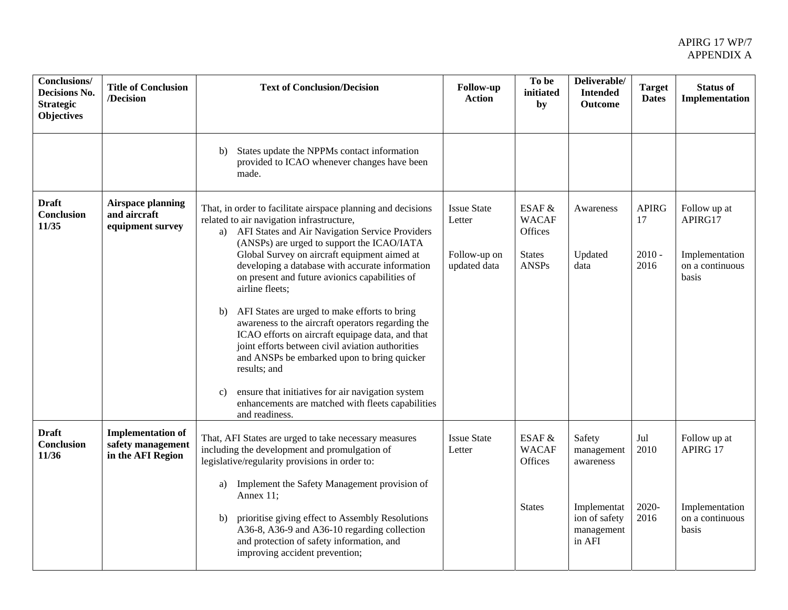| <b>Conclusions/</b><br>Decisions No.<br><b>Strategic</b><br><b>Objectives</b> | <b>Title of Conclusion</b><br>/Decision                            | <b>Text of Conclusion/Decision</b>                                                                                                                                                                                                                                                                                                                                                                                                                                                                                                                                                                                                                                                                                                                                                                         | <b>Follow-up</b><br><b>Action</b>                            | To be<br>initiated<br>by                                           | Deliverable/<br><b>Intended</b><br><b>Outcome</b>                                         | <b>Target</b><br><b>Dates</b>          | <b>Status of</b><br>Implementation                                     |
|-------------------------------------------------------------------------------|--------------------------------------------------------------------|------------------------------------------------------------------------------------------------------------------------------------------------------------------------------------------------------------------------------------------------------------------------------------------------------------------------------------------------------------------------------------------------------------------------------------------------------------------------------------------------------------------------------------------------------------------------------------------------------------------------------------------------------------------------------------------------------------------------------------------------------------------------------------------------------------|--------------------------------------------------------------|--------------------------------------------------------------------|-------------------------------------------------------------------------------------------|----------------------------------------|------------------------------------------------------------------------|
|                                                                               |                                                                    | States update the NPPMs contact information<br>b)<br>provided to ICAO whenever changes have been<br>made.                                                                                                                                                                                                                                                                                                                                                                                                                                                                                                                                                                                                                                                                                                  |                                                              |                                                                    |                                                                                           |                                        |                                                                        |
| <b>Draft</b><br>Conclusion<br>11/35                                           | <b>Airspace planning</b><br>and aircraft<br>equipment survey       | That, in order to facilitate airspace planning and decisions<br>related to air navigation infrastructure,<br>a) AFI States and Air Navigation Service Providers<br>(ANSPs) are urged to support the ICAO/IATA<br>Global Survey on aircraft equipment aimed at<br>developing a database with accurate information<br>on present and future avionics capabilities of<br>airline fleets;<br>AFI States are urged to make efforts to bring<br>b)<br>awareness to the aircraft operators regarding the<br>ICAO efforts on aircraft equipage data, and that<br>joint efforts between civil aviation authorities<br>and ANSPs be embarked upon to bring quicker<br>results; and<br>ensure that initiatives for air navigation system<br>c)<br>enhancements are matched with fleets capabilities<br>and readiness. | <b>Issue State</b><br>Letter<br>Follow-up on<br>updated data | ESAF &<br><b>WACAF</b><br>Offices<br><b>States</b><br><b>ANSPs</b> | Awareness<br>Updated<br>data                                                              | <b>APIRG</b><br>17<br>$2010 -$<br>2016 | Follow up at<br>APIRG17<br>Implementation<br>on a continuous<br>basis  |
| <b>Draft</b><br><b>Conclusion</b><br>11/36                                    | <b>Implementation of</b><br>safety management<br>in the AFI Region | That, AFI States are urged to take necessary measures<br>including the development and promulgation of<br>legislative/regularity provisions in order to:<br>Implement the Safety Management provision of<br>a)<br>Annex 11;<br>prioritise giving effect to Assembly Resolutions<br>b)<br>A36-8, A36-9 and A36-10 regarding collection<br>and protection of safety information, and<br>improving accident prevention;                                                                                                                                                                                                                                                                                                                                                                                       | <b>Issue State</b><br>Letter                                 | ESAF &<br><b>WACAF</b><br>Offices<br><b>States</b>                 | Safety<br>management<br>awareness<br>Implementat<br>ion of safety<br>management<br>in AFI | Jul<br>2010<br>2020-<br>2016           | Follow up at<br>APIRG 17<br>Implementation<br>on a continuous<br>basis |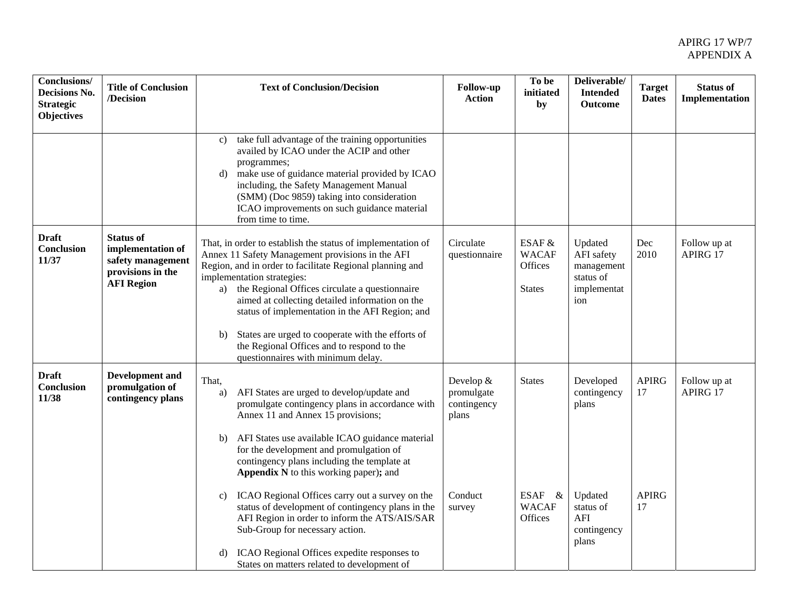| Conclusions/<br>Decisions No.<br><b>Strategic</b><br><b>Objectives</b> | <b>Title of Conclusion</b><br>/Decision                                                              | <b>Text of Conclusion/Decision</b>                                                                                                                                                                                                                                                                                                                                                                                                                                                                                                                                                                                                                   | Follow-up<br><b>Action</b>                                           | To be<br>initiated<br>by                           | Deliverable/<br><b>Intended</b><br><b>Outcome</b>                                        | <b>Target</b><br><b>Dates</b>            | <b>Status of</b><br>Implementation |
|------------------------------------------------------------------------|------------------------------------------------------------------------------------------------------|------------------------------------------------------------------------------------------------------------------------------------------------------------------------------------------------------------------------------------------------------------------------------------------------------------------------------------------------------------------------------------------------------------------------------------------------------------------------------------------------------------------------------------------------------------------------------------------------------------------------------------------------------|----------------------------------------------------------------------|----------------------------------------------------|------------------------------------------------------------------------------------------|------------------------------------------|------------------------------------|
|                                                                        |                                                                                                      | take full advantage of the training opportunities<br>c)<br>availed by ICAO under the ACIP and other<br>programmes;<br>make use of guidance material provided by ICAO<br>d)<br>including, the Safety Management Manual<br>(SMM) (Doc 9859) taking into consideration<br>ICAO improvements on such guidance material<br>from time to time.                                                                                                                                                                                                                                                                                                             |                                                                      |                                                    |                                                                                          |                                          |                                    |
| <b>Draft</b><br>Conclusion<br>11/37                                    | <b>Status of</b><br>implementation of<br>safety management<br>provisions in the<br><b>AFI Region</b> | That, in order to establish the status of implementation of<br>Annex 11 Safety Management provisions in the AFI<br>Region, and in order to facilitate Regional planning and<br>implementation strategies:<br>a) the Regional Offices circulate a questionnaire<br>aimed at collecting detailed information on the<br>status of implementation in the AFI Region; and<br>States are urged to cooperate with the efforts of<br>b)<br>the Regional Offices and to respond to the<br>questionnaires with minimum delay.                                                                                                                                  | Circulate<br>questionnaire                                           | ESAF &<br><b>WACAF</b><br>Offices<br><b>States</b> | Updated<br>AFI safety<br>management<br>status of<br>implementat<br>ion                   | Dec<br>2010                              | Follow up at<br>APIRG 17           |
| <b>Draft</b><br><b>Conclusion</b><br>11/38                             | <b>Development</b> and<br>promulgation of<br>contingency plans                                       | That,<br>AFI States are urged to develop/update and<br>a)<br>promulgate contingency plans in accordance with<br>Annex 11 and Annex 15 provisions;<br>AFI States use available ICAO guidance material<br>b)<br>for the development and promulgation of<br>contingency plans including the template at<br>Appendix N to this working paper); and<br>ICAO Regional Offices carry out a survey on the<br>c)<br>status of development of contingency plans in the<br>AFI Region in order to inform the ATS/AIS/SAR<br>Sub-Group for necessary action.<br>ICAO Regional Offices expedite responses to<br>d)<br>States on matters related to development of | Develop &<br>promulgate<br>contingency<br>plans<br>Conduct<br>survey | <b>States</b><br>ESAF &<br><b>WACAF</b><br>Offices | Developed<br>contingency<br>plans<br>Updated<br>status of<br>AFI<br>contingency<br>plans | <b>APIRG</b><br>17<br><b>APIRG</b><br>17 | Follow up at<br>APIRG 17           |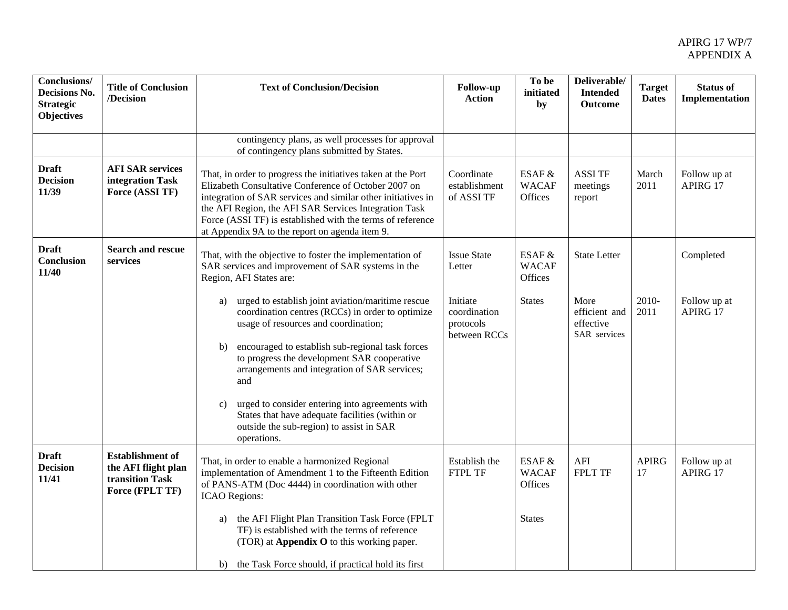| <b>Conclusions/</b><br>Decisions No.<br><b>Strategic</b><br><b>Objectives</b> | <b>Title of Conclusion</b><br>/Decision                                              | <b>Text of Conclusion/Decision</b>                                                                                                                                                                                                                                                                                                                            | Follow-up<br><b>Action</b>                            | To be<br>initiated<br>by          | Deliverable/<br><b>Intended</b><br><b>Outcome</b>  | <b>Target</b><br><b>Dates</b> | <b>Status of</b><br>Implementation |
|-------------------------------------------------------------------------------|--------------------------------------------------------------------------------------|---------------------------------------------------------------------------------------------------------------------------------------------------------------------------------------------------------------------------------------------------------------------------------------------------------------------------------------------------------------|-------------------------------------------------------|-----------------------------------|----------------------------------------------------|-------------------------------|------------------------------------|
|                                                                               |                                                                                      | contingency plans, as well processes for approval<br>of contingency plans submitted by States.                                                                                                                                                                                                                                                                |                                                       |                                   |                                                    |                               |                                    |
| <b>Draft</b><br><b>Decision</b><br>11/39                                      | <b>AFI SAR services</b><br>integration Task<br>Force (ASSI TF)                       | That, in order to progress the initiatives taken at the Port<br>Elizabeth Consultative Conference of October 2007 on<br>integration of SAR services and similar other initiatives in<br>the AFI Region, the AFI SAR Services Integration Task<br>Force (ASSI TF) is established with the terms of reference<br>at Appendix 9A to the report on agenda item 9. | Coordinate<br>establishment<br>of ASSI TF             | ESAF &<br><b>WACAF</b><br>Offices | <b>ASSI TF</b><br>meetings<br>report               | March<br>2011                 | Follow up at<br>APIRG 17           |
| <b>Draft</b><br><b>Conclusion</b><br>11/40                                    | <b>Search and rescue</b><br>services                                                 | That, with the objective to foster the implementation of<br>SAR services and improvement of SAR systems in the<br>Region, AFI States are:                                                                                                                                                                                                                     | <b>Issue State</b><br>Letter                          | ESAF &<br><b>WACAF</b><br>Offices | <b>State Letter</b>                                |                               | Completed                          |
|                                                                               |                                                                                      | urged to establish joint aviation/maritime rescue<br>a)<br>coordination centres (RCCs) in order to optimize<br>usage of resources and coordination;<br>encouraged to establish sub-regional task forces<br>$\mathbf{b}$<br>to progress the development SAR cooperative<br>arrangements and integration of SAR services;<br>and                                | Initiate<br>coordination<br>protocols<br>between RCCs | <b>States</b>                     | More<br>efficient and<br>effective<br>SAR services | 2010-<br>2011                 | Follow up at<br>APIRG 17           |
|                                                                               |                                                                                      | urged to consider entering into agreements with<br>$\mathbf{c}$<br>States that have adequate facilities (within or<br>outside the sub-region) to assist in SAR<br>operations.                                                                                                                                                                                 |                                                       |                                   |                                                    |                               |                                    |
| <b>Draft</b><br><b>Decision</b><br>11/41                                      | <b>Establishment</b> of<br>the AFI flight plan<br>transition Task<br>Force (FPLT TF) | That, in order to enable a harmonized Regional<br>implementation of Amendment 1 to the Fifteenth Edition<br>of PANS-ATM (Doc 4444) in coordination with other<br><b>ICAO</b> Regions:                                                                                                                                                                         | Establish the<br>FTPL TF                              | ESAF &<br><b>WACAF</b><br>Offices | AFI<br><b>FPLT TF</b>                              | <b>APIRG</b><br>17            | Follow up at<br>APIRG 17           |
|                                                                               |                                                                                      | the AFI Flight Plan Transition Task Force (FPLT<br>a)<br>TF) is established with the terms of reference<br>(TOR) at Appendix O to this working paper.                                                                                                                                                                                                         |                                                       | <b>States</b>                     |                                                    |                               |                                    |
|                                                                               |                                                                                      | b) the Task Force should, if practical hold its first                                                                                                                                                                                                                                                                                                         |                                                       |                                   |                                                    |                               |                                    |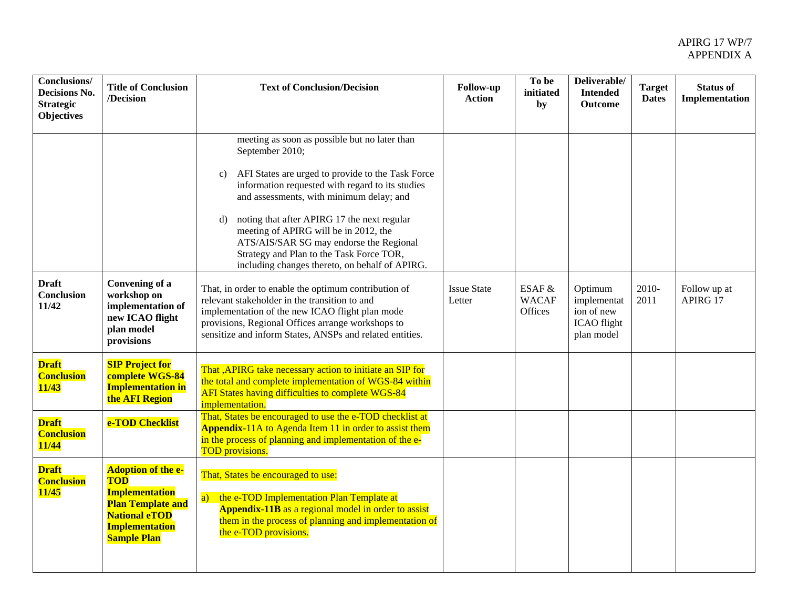| <b>Conclusions/</b><br>Decisions No.<br><b>Strategic</b><br><b>Objectives</b> | <b>Title of Conclusion</b><br>/Decision                                                                                                                             | <b>Text of Conclusion/Decision</b>                                                                                                                                                                                                                                                                                                                                                                                                                                            | Follow-up<br><b>Action</b>   | To be<br>initiated<br>by          | Deliverable/<br><b>Intended</b><br><b>Outcome</b>                 | <b>Target</b><br><b>Dates</b> | <b>Status of</b><br>Implementation |
|-------------------------------------------------------------------------------|---------------------------------------------------------------------------------------------------------------------------------------------------------------------|-------------------------------------------------------------------------------------------------------------------------------------------------------------------------------------------------------------------------------------------------------------------------------------------------------------------------------------------------------------------------------------------------------------------------------------------------------------------------------|------------------------------|-----------------------------------|-------------------------------------------------------------------|-------------------------------|------------------------------------|
|                                                                               |                                                                                                                                                                     | meeting as soon as possible but no later than<br>September 2010;<br>AFI States are urged to provide to the Task Force<br>$\mathbf{c})$<br>information requested with regard to its studies<br>and assessments, with minimum delay; and<br>noting that after APIRG 17 the next regular<br>d)<br>meeting of APIRG will be in 2012, the<br>ATS/AIS/SAR SG may endorse the Regional<br>Strategy and Plan to the Task Force TOR,<br>including changes thereto, on behalf of APIRG. |                              |                                   |                                                                   |                               |                                    |
| <b>Draft</b><br>Conclusion<br>11/42                                           | Convening of a<br>workshop on<br>implementation of<br>new ICAO flight<br>plan model<br>provisions                                                                   | That, in order to enable the optimum contribution of<br>relevant stakeholder in the transition to and<br>implementation of the new ICAO flight plan mode<br>provisions, Regional Offices arrange workshops to<br>sensitize and inform States, ANSPs and related entities.                                                                                                                                                                                                     | <b>Issue State</b><br>Letter | ESAF &<br><b>WACAF</b><br>Offices | Optimum<br>implementat<br>ion of new<br>ICAO flight<br>plan model | 2010-<br>2011                 | Follow up at<br>APIRG 17           |
| <b>Draft</b><br><b>Conclusion</b><br>11/43                                    | <b>SIP Project for</b><br>complete WGS-84<br><b>Implementation in</b><br>the <b>AFI</b> Region                                                                      | That , APIRG take necessary action to initiate an SIP for<br>the total and complete implementation of WGS-84 within<br>AFI States having difficulties to complete WGS-84<br>implementation.                                                                                                                                                                                                                                                                                   |                              |                                   |                                                                   |                               |                                    |
| <b>Draft</b><br><b>Conclusion</b><br><b>11/44</b>                             | e-TOD Checklist                                                                                                                                                     | That, States be encouraged to use the e-TOD checklist at<br>Appendix-11A to Agenda Item 11 in order to assist them<br>in the process of planning and implementation of the e-<br><b>TOD</b> provisions.                                                                                                                                                                                                                                                                       |                              |                                   |                                                                   |                               |                                    |
| <b>Draft</b><br><b>Conclusion</b><br>11/45                                    | <b>Adoption of the e-</b><br><b>TOD</b><br><b>Implementation</b><br><b>Plan Template and</b><br><b>National eTOD</b><br><b>Implementation</b><br><b>Sample Plan</b> | That, States be encouraged to use:<br>a) the e-TOD Implementation Plan Template at<br><b>Appendix-11B</b> as a regional model in order to assist<br>them in the process of planning and implementation of<br>the e-TOD provisions.                                                                                                                                                                                                                                            |                              |                                   |                                                                   |                               |                                    |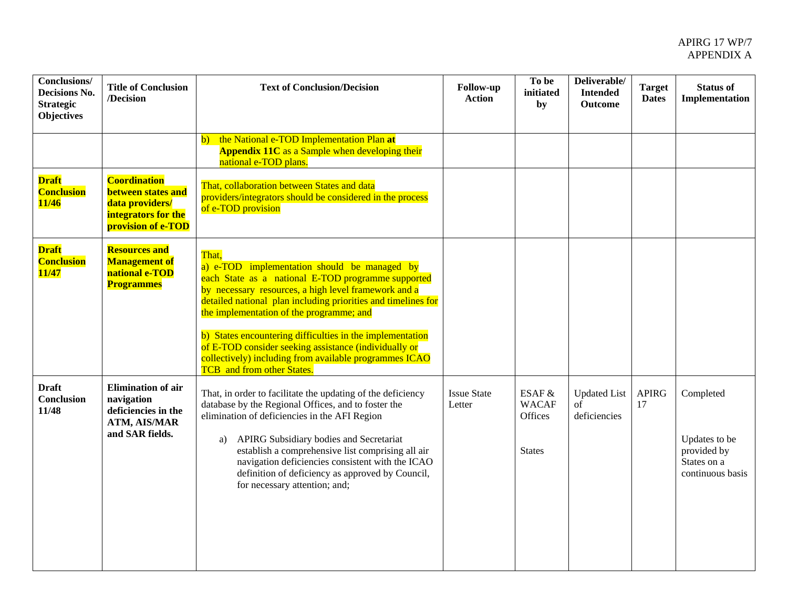| <b>Conclusions/</b><br>Decisions No.<br><b>Strategic</b><br><b>Objectives</b> | <b>Title of Conclusion</b><br>/Decision                                                                   | <b>Text of Conclusion/Decision</b>                                                                                                                                                                                                                                                                                                                                                                                                                                                                    | Follow-up<br><b>Action</b>   | To be<br>initiated<br>by                           | Deliverable/<br><b>Intended</b><br><b>Outcome</b> | <b>Target</b><br><b>Dates</b> | <b>Status of</b><br>Implementation                                           |
|-------------------------------------------------------------------------------|-----------------------------------------------------------------------------------------------------------|-------------------------------------------------------------------------------------------------------------------------------------------------------------------------------------------------------------------------------------------------------------------------------------------------------------------------------------------------------------------------------------------------------------------------------------------------------------------------------------------------------|------------------------------|----------------------------------------------------|---------------------------------------------------|-------------------------------|------------------------------------------------------------------------------|
|                                                                               |                                                                                                           | the National e-TOD Implementation Plan at<br>$\mathbf{b}$<br><b>Appendix 11C</b> as a Sample when developing their<br>national e-TOD plans.                                                                                                                                                                                                                                                                                                                                                           |                              |                                                    |                                                   |                               |                                                                              |
| <b>Draft</b><br><b>Conclusion</b><br><b>11/46</b>                             | <b>Coordination</b><br>between states and<br>data providers/<br>integrators for the<br>provision of e-TOD | That, collaboration between States and data<br>providers/integrators should be considered in the process<br>of e-TOD provision                                                                                                                                                                                                                                                                                                                                                                        |                              |                                                    |                                                   |                               |                                                                              |
| <b>Draft</b><br><b>Conclusion</b><br><b>11/47</b>                             | <b>Resources and</b><br><b>Management of</b><br>national e-TOD<br><b>Programmes</b>                       | That.<br>a) e-TOD implementation should be managed by<br>each State as a national E-TOD programme supported<br>by necessary resources, a high level framework and a<br>detailed national plan including priorities and timelines for<br>the implementation of the programme; and<br>b) States encountering difficulties in the implementation<br>of E-TOD consider seeking assistance (individually or<br>collectively) including from available programmes ICAO<br><b>TCB</b> and from other States. |                              |                                                    |                                                   |                               |                                                                              |
| <b>Draft</b><br>Conclusion<br>11/48                                           | <b>Elimination</b> of air<br>navigation<br>deficiencies in the<br>ATM, AIS/MAR<br>and SAR fields.         | That, in order to facilitate the updating of the deficiency<br>database by the Regional Offices, and to foster the<br>elimination of deficiencies in the AFI Region<br>APIRG Subsidiary bodies and Secretariat<br>a)<br>establish a comprehensive list comprising all air<br>navigation deficiencies consistent with the ICAO<br>definition of deficiency as approved by Council,<br>for necessary attention; and;                                                                                    | <b>Issue State</b><br>Letter | ESAF &<br><b>WACAF</b><br>Offices<br><b>States</b> | <b>Updated List</b><br>of<br>deficiencies         | <b>APIRG</b><br>17            | Completed<br>Updates to be<br>provided by<br>States on a<br>continuous basis |